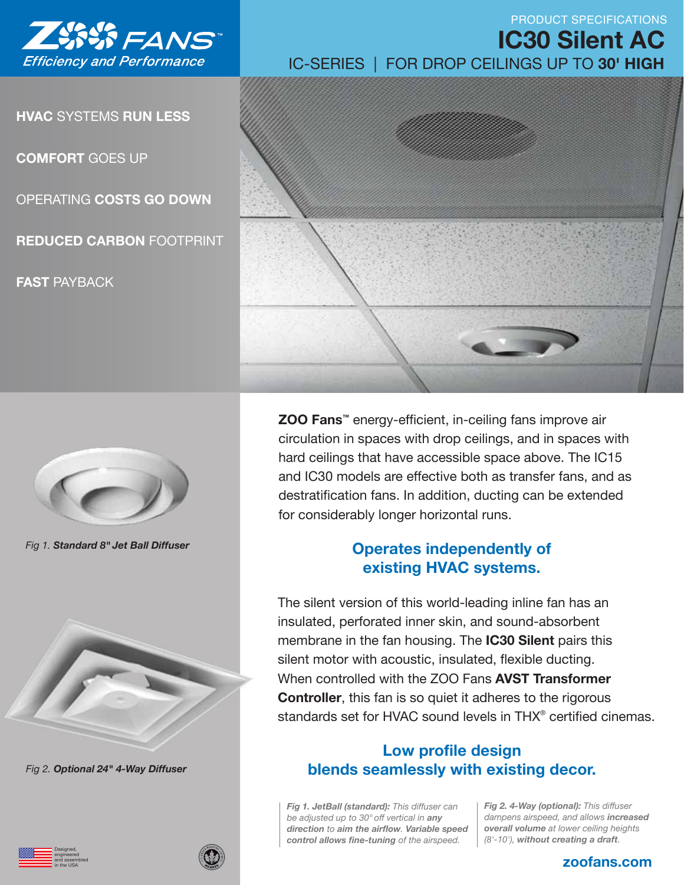

**HVAC** SYSTEMS **RUN LESS**

**COMFORT** GOES UP

OPERATING **COSTS GO DOWN**

**REDUCED CARBON** FOOTPRINT

**FAST** PAYBACK



*Fig 1. Standard 8" Jet Ball Diffuser*



*Fig 2. Optional 24" 4-Way Diffuser*

Designed, engineered and assembled in the USA

IC-SERIES | FOR DROP CEILINGS UP TO **30' HIGH IC30 Silent AC**

PRODUCT SPECIFICATIONS



**ZOO Fans™** energy-efficient, in-ceiling fans improve air circulation in spaces with drop ceilings, and in spaces with hard ceilings that have accessible space above. The IC15 and IC30 models are effective both as transfer fans, and as destratification fans. In addition, ducting can be extended for considerably longer horizontal runs.

## **Operates independently of existing HVAC systems.**

The silent version of this world-leading inline fan has an insulated, perforated inner skin, and sound-absorbent membrane in the fan housing. The **IC30 Silent** pairs this silent motor with acoustic, insulated, flexible ducting. When controlled with the ZOO Fans **AVST Transformer Controller**, this fan is so quiet it adheres to the rigorous standards set for HVAC sound levels in THX® certified cinemas.

## **Low profile design blends seamlessly with existing decor.**

*Fig 1. JetBall (standard): This diffuser can be adjusted up to 30° off vertical in any direction to aim the airflow. Variable speed control allows fine-tuning of the airspeed.* 

*Fig 2. 4-Way (optional): This diffuser dampens airspeed, and allows increased overall volume at lower ceiling heights (8'-10'), without creating a draft.*

### **zoofans.com**